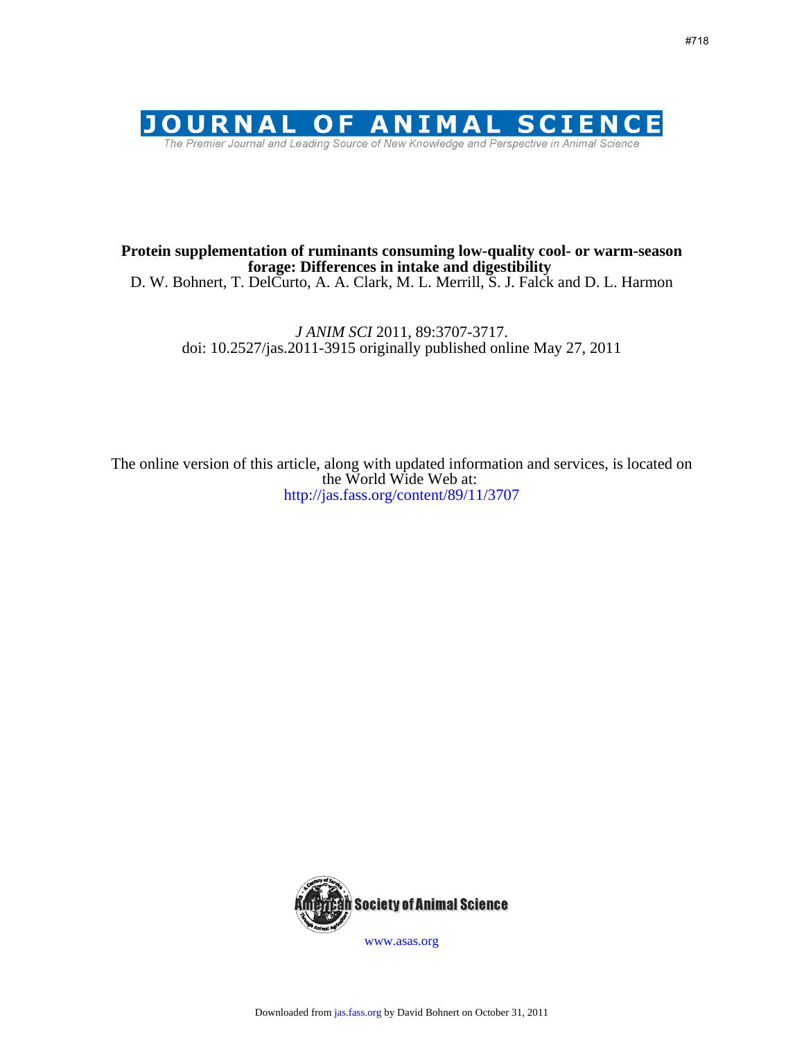

# **forage: Differences in intake and digestibility Protein supplementation of ruminants consuming low-quality cool- or warm-season**

D. W. Bohnert, T. DelCurto, A. A. Clark, M. L. Merrill, S. J. Falck and D. L. Harmon

doi: 10.2527/jas.2011-3915 originally published online May 27, 2011 *J ANIM SCI* 2011, 89:3707-3717.

http://jas.fass.org/content/89/11/3707 the World Wide Web at: The online version of this article, along with updated information and services, is located on



www.asas.org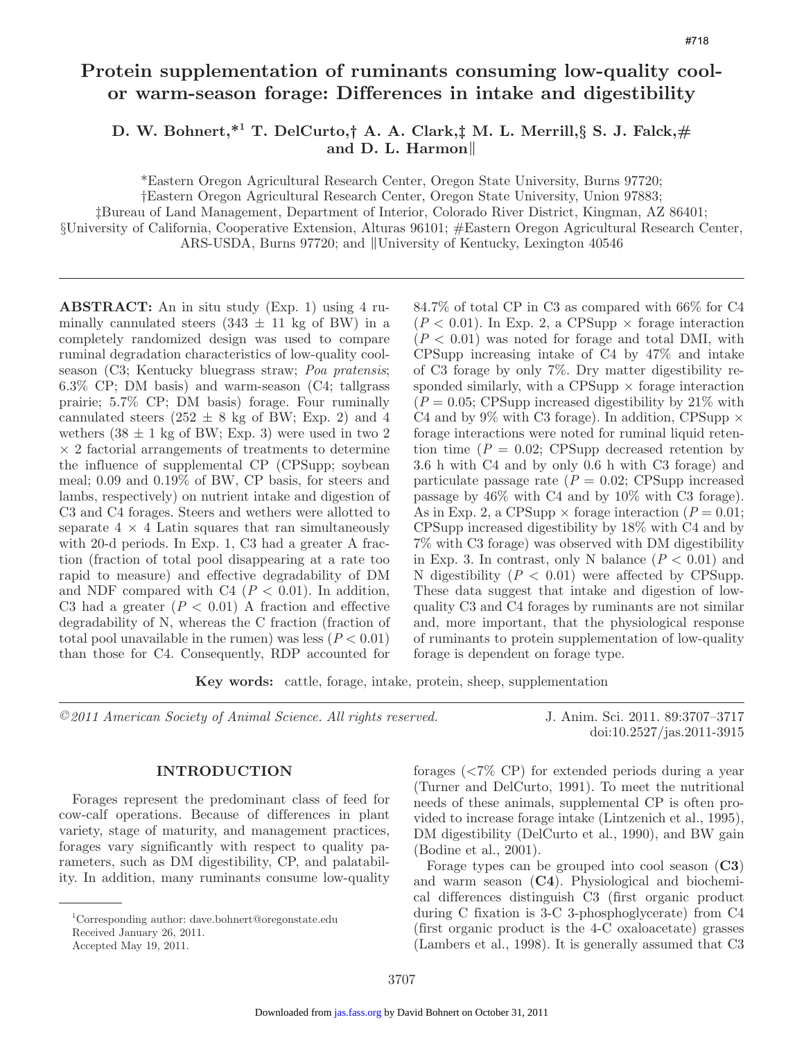# **Protein supplementation of ruminants consuming low-quality coolor warm-season forage: Differences in intake and digestibility**

**D. W. Bohnert,\*1 T. DelCurto,† A. A. Clark,‡ M. L. Merrill,§ S. J. Falck,# and D. L. Harmon**‖

\*Eastern Oregon Agricultural Research Center, Oregon State University, Burns 97720;

†Eastern Oregon Agricultural Research Center, Oregon State University, Union 97883;

‡Bureau of Land Management, Department of Interior, Colorado River District, Kingman, AZ 86401;

§University of California, Cooperative Extension, Alturas 96101; #Eastern Oregon Agricultural Research Center,

ARS-USDA, Burns 97720; and ‖University of Kentucky, Lexington 40546

**ABSTRACT:** An in situ study (Exp. 1) using 4 ruminally cannulated steers  $(343 \pm 11 \text{ kg of BW})$  in a completely randomized design was used to compare ruminal degradation characteristics of low-quality coolseason (C3; Kentucky bluegrass straw; *Poa pratensis*; 6.3% CP; DM basis) and warm-season (C4; tallgrass prairie; 5.7% CP; DM basis) forage. Four ruminally cannulated steers  $(252 \pm 8 \text{ kg of BW}; \text{Exp. 2})$  and 4 wethers  $(38 \pm 1 \text{ kg of BW};$  Exp. 3) were used in two 2  $\times$  2 factorial arrangements of treatments to determine the influence of supplemental CP (CPSupp; soybean meal; 0.09 and 0.19% of BW, CP basis, for steers and lambs, respectively) on nutrient intake and digestion of C3 and C4 forages. Steers and wethers were allotted to separate  $4 \times 4$  Latin squares that ran simultaneously with 20-d periods. In Exp. 1, C3 had a greater A fraction (fraction of total pool disappearing at a rate too rapid to measure) and effective degradability of DM and NDF compared with  $C4$  ( $P < 0.01$ ). In addition, C3 had a greater  $(P < 0.01)$  A fraction and effective degradability of N, whereas the C fraction (fraction of total pool unavailable in the rumen) was less  $(P < 0.01)$ than those for C4. Consequently, RDP accounted for 84.7% of total CP in C3 as compared with 66% for C4  $(P < 0.01)$ . In Exp. 2, a CPSupp  $\times$  forage interaction  $(P < 0.01)$  was noted for forage and total DMI, with CPSupp increasing intake of C4 by 47% and intake of C3 forage by only 7%. Dry matter digestibility responded similarly, with a CPSupp  $\times$  forage interaction  $(P = 0.05;$  CPSupp increased digestibility by 21\% with C4 and by 9% with C3 forage). In addition, CPSupp  $\times$ forage interactions were noted for ruminal liquid retention time  $(P = 0.02;$  CPSupp decreased retention by 3.6 h with C4 and by only 0.6 h with C3 forage) and particulate passage rate  $(P = 0.02;$  CPSupp increased passage by 46% with C4 and by 10% with C3 forage). As in Exp. 2, a CPSupp  $\times$  forage interaction ( $P = 0.01$ ; CPSupp increased digestibility by 18% with C4 and by 7% with C3 forage) was observed with DM digestibility in Exp. 3. In contrast, only N balance  $(P < 0.01)$  and N digestibility  $(P < 0.01)$  were affected by CPSupp. These data suggest that intake and digestion of lowquality C3 and C4 forages by ruminants are not similar and, more important, that the physiological response of ruminants to protein supplementation of low-quality forage is dependent on forage type.

**Key words:** cattle, forage, intake, protein, sheep, supplementation

*©2011 American Society of Animal Science. All rights reserved.* J. Anim. Sci. 2011. 89:3707–3717

### **INTRODUCTION**

Forages represent the predominant class of feed for cow-calf operations. Because of differences in plant variety, stage of maturity, and management practices, forages vary significantly with respect to quality parameters, such as DM digestibility, CP, and palatability. In addition, many ruminants consume low-quality forages (<7% CP) for extended periods during a year (Turner and DelCurto, 1991). To meet the nutritional needs of these animals, supplemental CP is often provided to increase forage intake (Lintzenich et al., 1995), DM digestibility (DelCurto et al., 1990), and BW gain (Bodine et al., 2001).

doi:10.2527/jas.2011-3915

Forage types can be grouped into cool season (**C3**) and warm season (**C4**). Physiological and biochemical differences distinguish C3 (first organic product during C fixation is 3-C 3-phosphoglycerate) from C4 (first organic product is the 4-C oxaloacetate) grasses (Lambers et al., 1998). It is generally assumed that C3

<sup>1</sup> Corresponding author: dave.bohnert@oregonstate.edu

Received January 26, 2011. Accepted May 19, 2011.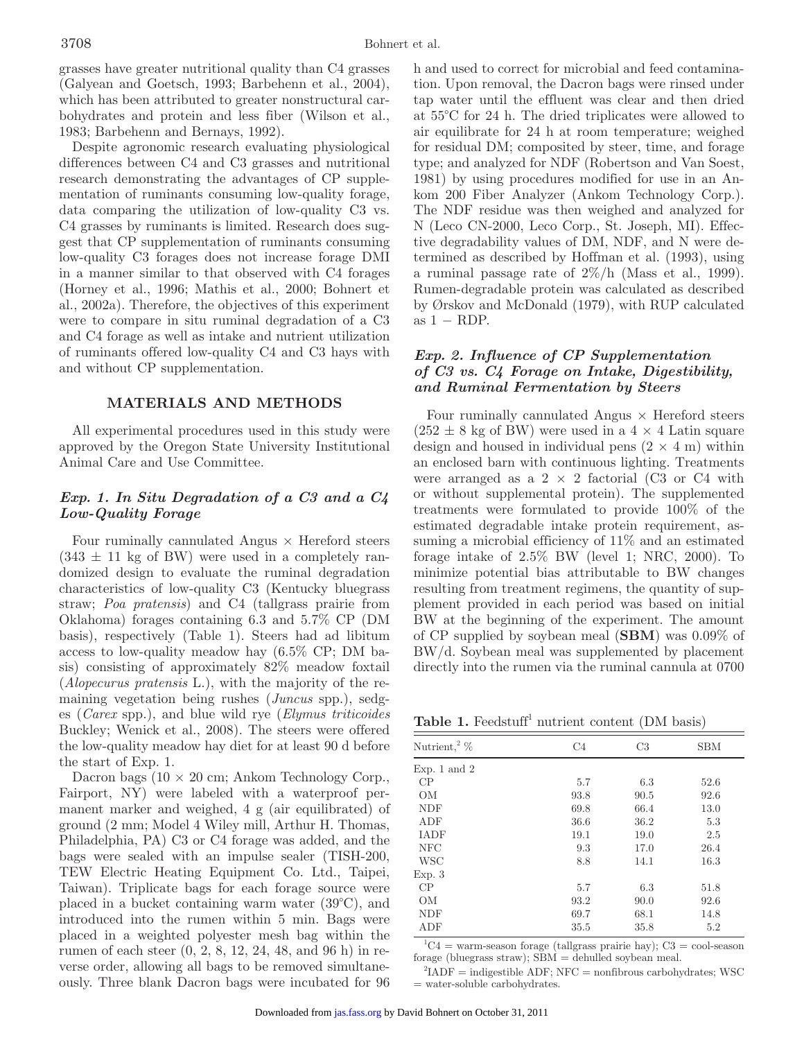grasses have greater nutritional quality than C4 grasses (Galyean and Goetsch, 1993; Barbehenn et al., 2004), which has been attributed to greater nonstructural carbohydrates and protein and less fiber (Wilson et al., 1983; Barbehenn and Bernays, 1992).

Despite agronomic research evaluating physiological differences between C4 and C3 grasses and nutritional research demonstrating the advantages of CP supplementation of ruminants consuming low-quality forage, data comparing the utilization of low-quality C3 vs. C4 grasses by ruminants is limited. Research does suggest that CP supplementation of ruminants consuming low-quality C3 forages does not increase forage DMI in a manner similar to that observed with C4 forages (Horney et al., 1996; Mathis et al., 2000; Bohnert et al., 2002a). Therefore, the objectives of this experiment were to compare in situ ruminal degradation of a C3 and C4 forage as well as intake and nutrient utilization of ruminants offered low-quality C4 and C3 hays with and without CP supplementation.

### **MATERIALS AND METHODS**

All experimental procedures used in this study were approved by the Oregon State University Institutional Animal Care and Use Committee.

## *Exp. 1. In Situ Degradation of a C3 and a C4 Low-Quality Forage*

Four ruminally cannulated Angus  $\times$  Hereford steers  $(343 \pm 11 \text{ kg of BW})$  were used in a completely randomized design to evaluate the ruminal degradation characteristics of low-quality C3 (Kentucky bluegrass straw; *Poa pratensis*) and C4 (tallgrass prairie from Oklahoma) forages containing 6.3 and 5.7% CP (DM basis), respectively (Table 1). Steers had ad libitum access to low-quality meadow hay (6.5% CP; DM basis) consisting of approximately 82% meadow foxtail (*Alopecurus pratensis* L.), with the majority of the remaining vegetation being rushes (*Juncus* spp.), sedges (*Carex* spp.), and blue wild rye (*Elymus triticoides* Buckley; Wenick et al., 2008). The steers were offered the low-quality meadow hay diet for at least 90 d before the start of Exp. 1.

Dacron bags  $(10 \times 20 \text{ cm}; \text{Ankom Technology Corp.},$ Fairport, NY) were labeled with a waterproof permanent marker and weighed, 4 g (air equilibrated) of ground (2 mm; Model 4 Wiley mill, Arthur H. Thomas, Philadelphia, PA) C3 or C4 forage was added, and the bags were sealed with an impulse sealer (TISH-200, TEW Electric Heating Equipment Co. Ltd., Taipei, Taiwan). Triplicate bags for each forage source were placed in a bucket containing warm water (39°C), and introduced into the rumen within 5 min. Bags were placed in a weighted polyester mesh bag within the rumen of each steer (0, 2, 8, 12, 24, 48, and 96 h) in reverse order, allowing all bags to be removed simultaneously. Three blank Dacron bags were incubated for 96 h and used to correct for microbial and feed contamination. Upon removal, the Dacron bags were rinsed under tap water until the effluent was clear and then dried at 55°C for 24 h. The dried triplicates were allowed to air equilibrate for 24 h at room temperature; weighed for residual DM; composited by steer, time, and forage type; and analyzed for NDF (Robertson and Van Soest, 1981) by using procedures modified for use in an Ankom 200 Fiber Analyzer (Ankom Technology Corp.). The NDF residue was then weighed and analyzed for N (Leco CN-2000, Leco Corp., St. Joseph, MI). Effective degradability values of DM, NDF, and N were determined as described by Hoffman et al. (1993), using a ruminal passage rate of  $2\%/h$  (Mass et al., 1999). Rumen-degradable protein was calculated as described by Ørskov and McDonald (1979), with RUP calculated as  $1 - RDP$ .

## *Exp. 2. Influence of CP Supplementation of C3 vs. C4 Forage on Intake, Digestibility, and Ruminal Fermentation by Steers*

Four ruminally cannulated Angus  $\times$  Hereford steers  $(252 \pm 8 \text{ kg of BW})$  were used in a  $4 \times 4$  Latin square design and housed in individual pens  $(2 \times 4 \text{ m})$  within an enclosed barn with continuous lighting. Treatments were arranged as a  $2 \times 2$  factorial (C3 or C4 with or without supplemental protein). The supplemented treatments were formulated to provide 100% of the estimated degradable intake protein requirement, assuming a microbial efficiency of 11% and an estimated forage intake of 2.5% BW (level 1; NRC, 2000). To minimize potential bias attributable to BW changes resulting from treatment regimens, the quantity of supplement provided in each period was based on initial BW at the beginning of the experiment. The amount of CP supplied by soybean meal (**SBM**) was 0.09% of BW/d. Soybean meal was supplemented by placement directly into the rumen via the ruminal cannula at 0700

Table 1. Feedstuff<sup>1</sup> nutrient content (DM basis)

| Nutrient,<br>² $\%$ | C <sub>4</sub> | C <sub>3</sub> | <b>SBM</b> |
|---------------------|----------------|----------------|------------|
| Exp. 1 and $2$      |                |                |            |
| CP                  | 5.7            | 6.3            | 52.6       |
| <b>OM</b>           | 93.8           | 90.5           | 92.6       |
| <b>NDF</b>          | 69.8           | 66.4           | 13.0       |
| ADF                 | 36.6           | 36.2           | 5.3        |
| <b>IADF</b>         | 19.1           | 19.0           | 2.5        |
| <b>NFC</b>          | 9.3            | 17.0           | 26.4       |
| <b>WSC</b>          | 8.8            | 14.1           | 16.3       |
| Exp. 3              |                |                |            |
| CP                  | 5.7            | 6.3            | 51.8       |
| ΟM                  | 93.2           | 90.0           | 92.6       |
| <b>NDF</b>          | 69.7           | 68.1           | 14.8       |
| ADF                 | 35.5           | 35.8           | 5.2        |
|                     |                |                |            |

 ${}^{1}C4$  = warm-season forage (tallgrass prairie hay);  $C3$  = cool-season forage (bluegrass straw);  $SBM =$  dehulled soybean meal.

 ${}^{2}$ IADF = indigestible ADF; NFC = nonfibrous carbohydrates; WSC = water-soluble carbohydrates.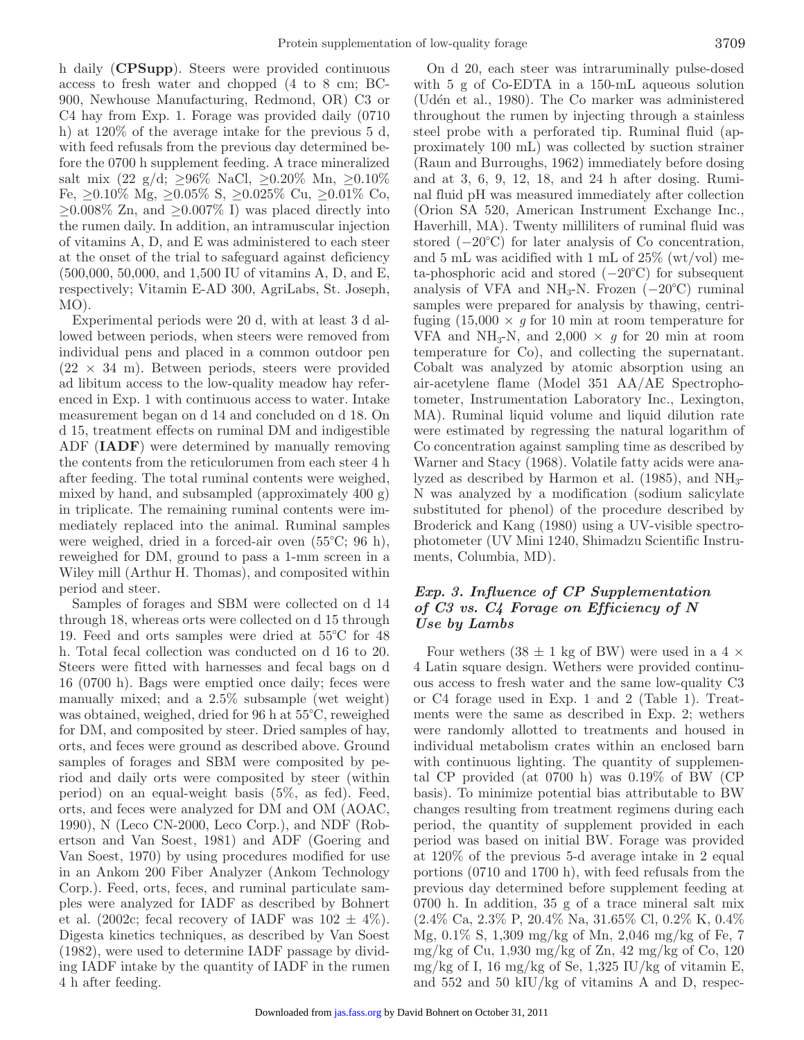h daily (**CPSupp**). Steers were provided continuous access to fresh water and chopped (4 to 8 cm; BC-900, Newhouse Manufacturing, Redmond, OR) C3 or C4 hay from Exp. 1. Forage was provided daily (0710 h) at 120% of the average intake for the previous 5 d, with feed refusals from the previous day determined before the 0700 h supplement feeding. A trace mineralized salt mix (22 g/d;  $\geq 96\%$  NaCl,  $\geq 0.20\%$  Mn,  $\geq 0.10\%$ Fe, ≥0.10% Mg, ≥0.05% S, ≥0.025% Cu, ≥0.01% Co,  $\geq$ 0.008% Zn, and  $\geq$ 0.007% I) was placed directly into the rumen daily. In addition, an intramuscular injection of vitamins A, D, and E was administered to each steer at the onset of the trial to safeguard against deficiency (500,000, 50,000, and 1,500 IU of vitamins A, D, and E, respectively; Vitamin E-AD 300, AgriLabs, St. Joseph, MO).

Experimental periods were 20 d, with at least 3 d allowed between periods, when steers were removed from individual pens and placed in a common outdoor pen  $(22 \times 34 \text{ m})$ . Between periods, steers were provided ad libitum access to the low-quality meadow hay referenced in Exp. 1 with continuous access to water. Intake measurement began on d 14 and concluded on d 18. On d 15, treatment effects on ruminal DM and indigestible ADF (**IADF**) were determined by manually removing the contents from the reticulorumen from each steer 4 h after feeding. The total ruminal contents were weighed, mixed by hand, and subsampled (approximately 400 g) in triplicate. The remaining ruminal contents were immediately replaced into the animal. Ruminal samples were weighed, dried in a forced-air oven (55°C; 96 h), reweighed for DM, ground to pass a 1-mm screen in a Wiley mill (Arthur H. Thomas), and composited within period and steer.

Samples of forages and SBM were collected on d 14 through 18, whereas orts were collected on d 15 through 19. Feed and orts samples were dried at 55°C for 48 h. Total fecal collection was conducted on d 16 to 20. Steers were fitted with harnesses and fecal bags on d 16 (0700 h). Bags were emptied once daily; feces were manually mixed; and a 2.5% subsample (wet weight) was obtained, weighed, dried for 96 h at 55°C, reweighed for DM, and composited by steer. Dried samples of hay, orts, and feces were ground as described above. Ground samples of forages and SBM were composited by period and daily orts were composited by steer (within period) on an equal-weight basis (5%, as fed). Feed, orts, and feces were analyzed for DM and OM (AOAC, 1990), N (Leco CN-2000, Leco Corp.), and NDF (Robertson and Van Soest, 1981) and ADF (Goering and Van Soest, 1970) by using procedures modified for use in an Ankom 200 Fiber Analyzer (Ankom Technology Corp.). Feed, orts, feces, and ruminal particulate samples were analyzed for IADF as described by Bohnert et al. (2002c; fecal recovery of IADF was  $102 \pm 4\%$ ). Digesta kinetics techniques, as described by Van Soest (1982), were used to determine IADF passage by dividing IADF intake by the quantity of IADF in the rumen 4 h after feeding.

On d 20, each steer was intraruminally pulse-dosed with 5 g of Co-EDTA in a 150-mL aqueous solution (Udén et al., 1980). The Co marker was administered throughout the rumen by injecting through a stainless steel probe with a perforated tip. Ruminal fluid (approximately 100 mL) was collected by suction strainer (Raun and Burroughs, 1962) immediately before dosing and at 3, 6, 9, 12, 18, and 24 h after dosing. Ruminal fluid pH was measured immediately after collection (Orion SA 520, American Instrument Exchange Inc., Haverhill, MA). Twenty milliliters of ruminal fluid was stored (−20°C) for later analysis of Co concentration, and 5 mL was acidified with 1 mL of  $25\%$  (wt/vol) meta-phosphoric acid and stored  $(-20^{\circ}C)$  for subsequent analysis of VFA and NH<sub>3</sub>-N. Frozen  $(-20^{\circ}C)$  ruminal samples were prepared for analysis by thawing, centrifuging  $(15,000 \times g$  for 10 min at room temperature for VFA and NH<sub>3</sub>-N, and  $2,000 \times g$  for 20 min at room temperature for Co), and collecting the supernatant. Cobalt was analyzed by atomic absorption using an air-acetylene flame (Model 351 AA/AE Spectrophotometer, Instrumentation Laboratory Inc., Lexington, MA). Ruminal liquid volume and liquid dilution rate were estimated by regressing the natural logarithm of Co concentration against sampling time as described by Warner and Stacy (1968). Volatile fatty acids were analyzed as described by Harmon et al.  $(1985)$ , and  $NH<sub>3</sub>$ -N was analyzed by a modification (sodium salicylate substituted for phenol) of the procedure described by Broderick and Kang (1980) using a UV-visible spectrophotometer (UV Mini 1240, Shimadzu Scientific Instruments, Columbia, MD).

## *Exp. 3. Influence of CP Supplementation of C3 vs. C4 Forage on Efficiency of N Use by Lambs*

Four wethers  $(38 \pm 1 \text{ kg of BW})$  were used in a 4  $\times$ 4 Latin square design. Wethers were provided continuous access to fresh water and the same low-quality C3 or C4 forage used in Exp. 1 and 2 (Table 1). Treatments were the same as described in Exp. 2; wethers were randomly allotted to treatments and housed in individual metabolism crates within an enclosed barn with continuous lighting. The quantity of supplemental CP provided (at 0700 h) was 0.19% of BW (CP basis). To minimize potential bias attributable to BW changes resulting from treatment regimens during each period, the quantity of supplement provided in each period was based on initial BW. Forage was provided at 120% of the previous 5-d average intake in 2 equal portions (0710 and 1700 h), with feed refusals from the previous day determined before supplement feeding at 0700 h. In addition, 35 g of a trace mineral salt mix (2.4% Ca, 2.3% P, 20.4% Na, 31.65% Cl, 0.2% K, 0.4% Mg, 0.1% S, 1,309 mg/kg of Mn, 2,046 mg/kg of Fe, 7 mg/kg of Cu, 1,930 mg/kg of Zn, 42 mg/kg of Co, 120 mg/kg of I, 16 mg/kg of Se,  $1,325$  IU/kg of vitamin E, and 552 and 50 kIU/kg of vitamins A and D, respec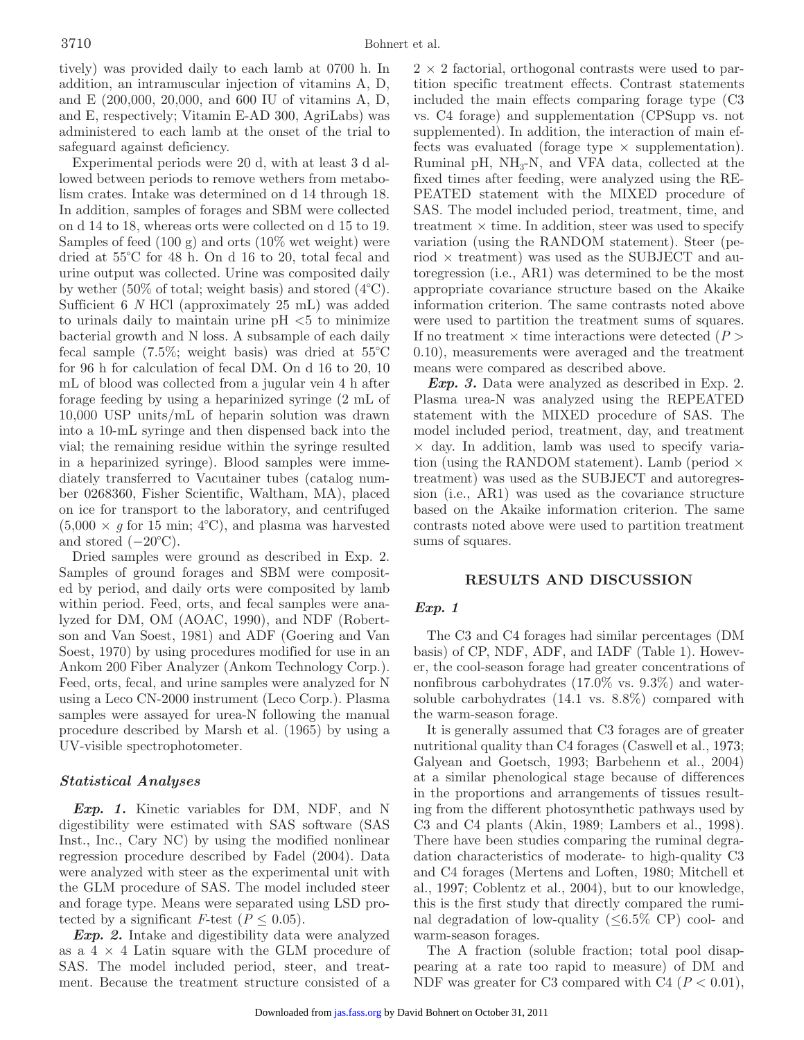tively) was provided daily to each lamb at 0700 h. In addition, an intramuscular injection of vitamins A, D, and E (200,000, 20,000, and 600 IU of vitamins A, D, and E, respectively; Vitamin E-AD 300, AgriLabs) was administered to each lamb at the onset of the trial to safeguard against deficiency.

Experimental periods were 20 d, with at least 3 d allowed between periods to remove wethers from metabolism crates. Intake was determined on d 14 through 18. In addition, samples of forages and SBM were collected on d 14 to 18, whereas orts were collected on d 15 to 19. Samples of feed  $(100 \text{ g})$  and orts  $(10\% \text{ wet weight})$  were dried at 55°C for 48 h. On d 16 to 20, total fecal and urine output was collected. Urine was composited daily by wether (50% of total; weight basis) and stored (4°C). Sufficient 6 *N* HCl (approximately 25 mL) was added to urinals daily to maintain urine  $pH < 5$  to minimize bacterial growth and N loss. A subsample of each daily fecal sample (7.5%; weight basis) was dried at 55°C for 96 h for calculation of fecal DM. On d 16 to 20, 10 mL of blood was collected from a jugular vein 4 h after forage feeding by using a heparinized syringe (2 mL of 10,000 USP units/mL of heparin solution was drawn into a 10-mL syringe and then dispensed back into the vial; the remaining residue within the syringe resulted in a heparinized syringe). Blood samples were immediately transferred to Vacutainer tubes (catalog number 0268360, Fisher Scientific, Waltham, MA), placed on ice for transport to the laboratory, and centrifuged  $(5,000 \times g$  for 15 min; 4<sup>o</sup>C), and plasma was harvested and stored  $(-20^{\circ}C)$ .

Dried samples were ground as described in Exp. 2. Samples of ground forages and SBM were composited by period, and daily orts were composited by lamb within period. Feed, orts, and fecal samples were analyzed for DM, OM (AOAC, 1990), and NDF (Robertson and Van Soest, 1981) and ADF (Goering and Van Soest, 1970) by using procedures modified for use in an Ankom 200 Fiber Analyzer (Ankom Technology Corp.). Feed, orts, fecal, and urine samples were analyzed for N using a Leco CN-2000 instrument (Leco Corp.). Plasma samples were assayed for urea-N following the manual procedure described by Marsh et al. (1965) by using a UV-visible spectrophotometer.

## *Statistical Analyses*

*Exp. 1.* Kinetic variables for DM, NDF, and N digestibility were estimated with SAS software (SAS Inst., Inc., Cary NC) by using the modified nonlinear regression procedure described by Fadel (2004). Data were analyzed with steer as the experimental unit with the GLM procedure of SAS. The model included steer and forage type. Means were separated using LSD protected by a significant *F*-test ( $P \leq 0.05$ ).

*Exp. 2.* Intake and digestibility data were analyzed as a  $4 \times 4$  Latin square with the GLM procedure of SAS. The model included period, steer, and treatment. Because the treatment structure consisted of a  $2 \times 2$  factorial, orthogonal contrasts were used to partition specific treatment effects. Contrast statements included the main effects comparing forage type (C3 vs. C4 forage) and supplementation (CPSupp vs. not supplemented). In addition, the interaction of main effects was evaluated (forage type  $\times$  supplementation). Ruminal pH,  $NH<sub>3</sub>-N$ , and VFA data, collected at the fixed times after feeding, were analyzed using the RE-PEATED statement with the MIXED procedure of SAS. The model included period, treatment, time, and treatment  $\times$  time. In addition, steer was used to specify variation (using the RANDOM statement). Steer (period  $\times$  treatment) was used as the SUBJECT and autoregression (i.e., AR1) was determined to be the most appropriate covariance structure based on the Akaike information criterion. The same contrasts noted above were used to partition the treatment sums of squares. If no treatment  $\times$  time interactions were detected ( $P$ ) 0.10), measurements were averaged and the treatment means were compared as described above.

*Exp. 3.* Data were analyzed as described in Exp. 2. Plasma urea-N was analyzed using the REPEATED statement with the MIXED procedure of SAS. The model included period, treatment, day, and treatment  $\times$  day. In addition, lamb was used to specify variation (using the RANDOM statement). Lamb (period  $\times$ treatment) was used as the SUBJECT and autoregression (i.e., AR1) was used as the covariance structure based on the Akaike information criterion. The same contrasts noted above were used to partition treatment sums of squares.

### **RESULTS AND DISCUSSION**

## *Exp. 1*

The C3 and C4 forages had similar percentages (DM basis) of CP, NDF, ADF, and IADF (Table 1). However, the cool-season forage had greater concentrations of nonfibrous carbohydrates (17.0% vs. 9.3%) and watersoluble carbohydrates (14.1 vs. 8.8%) compared with the warm-season forage.

It is generally assumed that C3 forages are of greater nutritional quality than C4 forages (Caswell et al., 1973; Galyean and Goetsch, 1993; Barbehenn et al., 2004) at a similar phenological stage because of differences in the proportions and arrangements of tissues resulting from the different photosynthetic pathways used by C3 and C4 plants (Akin, 1989; Lambers et al., 1998). There have been studies comparing the ruminal degradation characteristics of moderate- to high-quality C3 and C4 forages (Mertens and Loften, 1980; Mitchell et al., 1997; Coblentz et al., 2004), but to our knowledge, this is the first study that directly compared the ruminal degradation of low-quality ( $\leq 6.5\%$  CP) cool- and warm-season forages.

The A fraction (soluble fraction; total pool disappearing at a rate too rapid to measure) of DM and NDF was greater for C3 compared with C4  $(P < 0.01)$ ,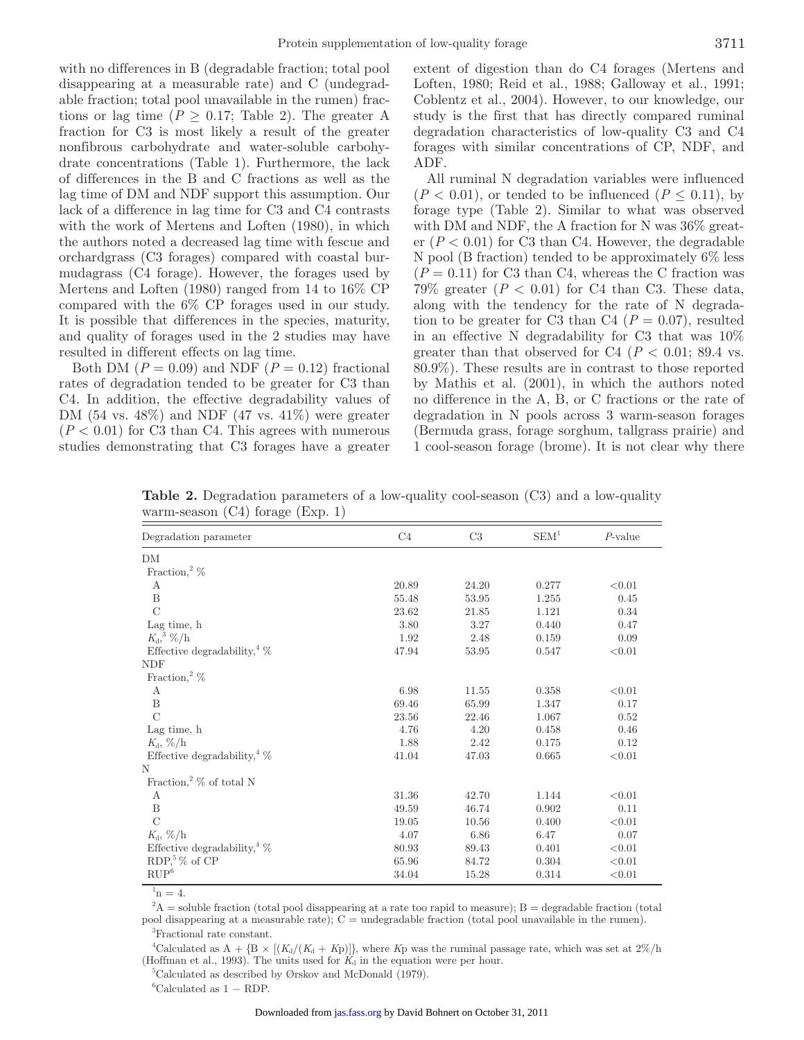with no differences in B (degradable fraction; total pool disappearing at a measurable rate) and C (undegradable fraction; total pool unavailable in the rumen) fractions or lag time ( $P \geq 0.17$ ; Table 2). The greater A fraction for C3 is most likely a result of the greater nonfibrous carbohydrate and water-soluble carbohydrate concentrations (Table 1). Furthermore, the lack of differences in the B and C fractions as well as the lag time of DM and NDF support this assumption. Our lack of a difference in lag time for C3 and C4 contrasts with the work of Mertens and Loften (1980), in which the authors noted a decreased lag time with fescue and orchardgrass (C3 forages) compared with coastal burmudagrass (C4 forage). However, the forages used by Mertens and Loften (1980) ranged from 14 to 16% CP compared with the 6% CP forages used in our study. It is possible that differences in the species, maturity, and quality of forages used in the 2 studies may have resulted in different effects on lag time.

Both DM  $(P = 0.09)$  and NDF  $(P = 0.12)$  fractional rates of degradation tended to be greater for C3 than C4. In addition, the effective degradability values of DM  $(54 \text{ vs. } 48\%)$  and NDF  $(47 \text{ vs. } 41\%)$  were greater  $(P < 0.01)$  for C3 than C4. This agrees with numerous studies demonstrating that C3 forages have a greater extent of digestion than do C4 forages (Mertens and Loften, 1980; Reid et al., 1988; Galloway et al., 1991; Coblentz et al., 2004). However, to our knowledge, our study is the first that has directly compared ruminal degradation characteristics of low-quality C3 and C4 forages with similar concentrations of CP, NDF, and ADF.

All ruminal N degradation variables were influenced  $(P < 0.01)$ , or tended to be influenced  $(P \le 0.11)$ , by forage type (Table 2). Similar to what was observed with DM and NDF, the A fraction for N was 36% greater  $(P < 0.01)$  for C3 than C4. However, the degradable N pool (B fraction) tended to be approximately 6% less  $(P = 0.11)$  for C3 than C4, whereas the C fraction was  $79\%$  greater  $(P < 0.01)$  for C4 than C3. These data, along with the tendency for the rate of N degradation to be greater for C3 than C4 ( $P = 0.07$ ), resulted in an effective N degradability for C3 that was 10% greater than that observed for C4 ( $P < 0.01$ ; 89.4 vs. 80.9%). These results are in contrast to those reported by Mathis et al. (2001), in which the authors noted no difference in the A, B, or C fractions or the rate of degradation in N pools across 3 warm-season forages (Bermuda grass, forage sorghum, tallgrass prairie) and 1 cool-season forage (brome). It is not clear why there

| Degradation parameter                                            | C <sub>4</sub> | $\rm C3$ | SEM <sup>1</sup> | $P$ -value |
|------------------------------------------------------------------|----------------|----------|------------------|------------|
| DM                                                               |                |          |                  |            |
| Fraction, $\frac{2}{\%}$                                         |                |          |                  |            |
| А                                                                | 20.89          | 24.20    | 0.277            | < 0.01     |
| B                                                                | 55.48          | 53.95    | 1.255            | 0.45       |
| $\overline{C}$                                                   | 23.62          | 21.85    | 1.121            | 0.34       |
| Lag time, h                                                      | 3.80           | 3.27     | 0.440            | 0.47       |
| $K_{\mathrm{d}}^3$ , %/h                                         | 1.92           | 2.48     | 0.159            | 0.09       |
| Effective degradability, $\frac{4}{\%}$                          | 47.94          | 53.95    | 0.547            | < 0.01     |
| <b>NDF</b>                                                       |                |          |                  |            |
| Fraction,<br>² $\%$                                              |                |          |                  |            |
| A                                                                | 6.98           | 11.55    | 0.358            | < 0.01     |
| B                                                                | 69.46          | 65.99    | 1.347            | 0.17       |
| $\overline{C}$                                                   | 23.56          | 22.46    | 1.067            | 0.52       |
| Lag time, h                                                      | 4.76           | 4.20     | 0.458            | 0.46       |
| $K_{\rm d}$ , %/h                                                | 1.88           | 2.42     | 0.175            | 0.12       |
| Effective degradability, $\%$                                    | 41.04          | 47.03    | 0.665            | < 0.01     |
| Ν                                                                |                |          |                  |            |
| Fraction, $\%$ of total N                                        |                |          |                  |            |
| А                                                                | 31.36          | 42.70    | 1.144            | < 0.01     |
| B                                                                | 49.59          | 46.74    | 0.902            | 0.11       |
| $\mathcal{C}$                                                    | 19.05          | 10.56    | 0.400            | < 0.01     |
| $K_{\rm d}$ , %/h                                                | 4.07           | 6.86     | 6.47             | 0.07       |
| Effective degradability, $\frac{4}{\%}$                          | 80.93          | 89.43    | 0.401            | < 0.01     |
| RDP, $% \mathcal{L}_{\mathrm{F}}$ & $\times$ RDP, $^{5}$ % of CP | 65.96          | 84.72    | 0.304            | < 0.01     |
| $\mathbf{RUP}^6$                                                 | 34.04          | 15.28    | 0.314            | < 0.01     |

**Table 2.** Degradation parameters of a low-quality cool-season (C3) and a low-quality warm-season (C4) forage (Exp. 1)

 $n = 4$ .

 $A^2A$  = soluble fraction (total pool disappearing at a rate too rapid to measure); B = degradable fraction (total pool disappearing at a measurable rate); C = undegradable fraction (total pool unavailable in the rumen). 3 Fractional rate constant.

<sup>4</sup>Calculated as  $A + {B \times [(K_d/(K_d + Kp)]},$  where *K*p was the ruminal passage rate, which was set at  $2\%/h$ (Hoffman et al., 1993). The units used for  $K_d$  in the equation were per hour.

5 Calculated as described by Ørskov and McDonald (1979).

 ${}^6$ Calculated as 1 – RDP.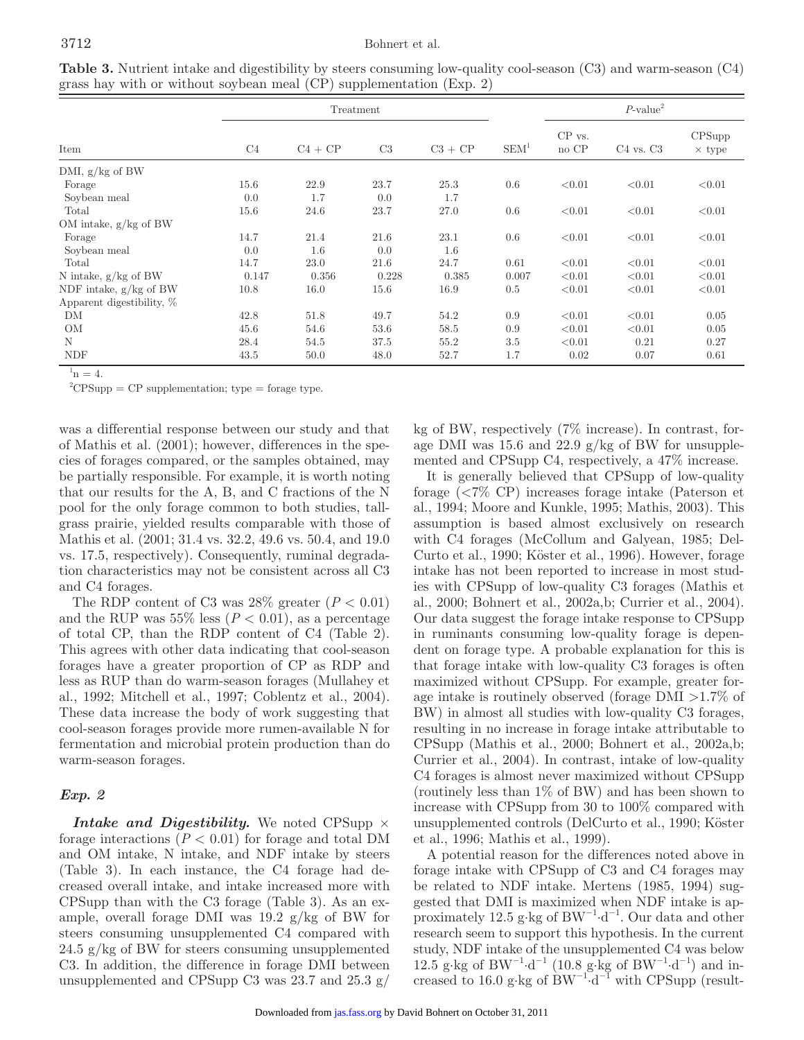### 3712 Bohnert et al.

|                           | Treatment      |           |       |           |                  | $P$ -value <sup>2</sup> |               |                         |
|---------------------------|----------------|-----------|-------|-----------|------------------|-------------------------|---------------|-------------------------|
| Item                      | C <sub>4</sub> | $C4 + CP$ | C3    | $C3 + CP$ | SEM <sup>1</sup> | CP vs.<br>no CP         | $C4$ vs. $C3$ | CPSupp<br>$\times$ type |
| DMI, $g/kg$ of BW         |                |           |       |           |                  |                         |               |                         |
| Forage                    | 15.6           | 22.9      | 23.7  | 25.3      | 0.6              | < 0.01                  | < 0.01        | < 0.01                  |
| Soybean meal              | 0.0            | 1.7       | 0.0   | 1.7       |                  |                         |               |                         |
| Total                     | 15.6           | 24.6      | 23.7  | 27.0      | 0.6              | < 0.01                  | < 0.01        | < 0.01                  |
| OM intake, $g/kg$ of BW   |                |           |       |           |                  |                         |               |                         |
| Forage                    | 14.7           | 21.4      | 21.6  | 23.1      | 0.6              | < 0.01                  | < 0.01        | < 0.01                  |
| Soybean meal              | 0.0            | 1.6       | 0.0   | 1.6       |                  |                         |               |                         |
| Total                     | 14.7           | 23.0      | 21.6  | 24.7      | 0.61             | < 0.01                  | < 0.01        | < 0.01                  |
| N intake, $g/kg$ of BW    | 0.147          | 0.356     | 0.228 | 0.385     | 0.007            | < 0.01                  | < 0.01        | < 0.01                  |
| NDF intake, $g/kg$ of BW  | 10.8           | 16.0      | 15.6  | 16.9      | 0.5              | < 0.01                  | < 0.01        | < 0.01                  |
| Apparent digestibility, % |                |           |       |           |                  |                         |               |                         |
| DM                        | 42.8           | 51.8      | 49.7  | 54.2      | 0.9              | < 0.01                  | < 0.01        | 0.05                    |
| OM                        | 45.6           | 54.6      | 53.6  | 58.5      | 0.9              | < 0.01                  | < 0.01        | 0.05                    |
| N                         | 28.4           | 54.5      | 37.5  | 55.2      | 3.5              | < 0.01                  | 0.21          | 0.27                    |
| <b>NDF</b>                | 43.5           | 50.0      | 48.0  | 52.7      | 1.7              | 0.02                    | 0.07          | 0.61                    |

**Table 3.** Nutrient intake and digestibility by steers consuming low-quality cool-season (C3) and warm-season (C4) grass hay with or without soybean meal (CP) supplementation (Exp. 2)

 $n = 4$ .

 ${}^{2}CPSupp = CP$  supplementation; type = forage type.

was a differential response between our study and that of Mathis et al. (2001); however, differences in the species of forages compared, or the samples obtained, may be partially responsible. For example, it is worth noting that our results for the A, B, and C fractions of the N pool for the only forage common to both studies, tallgrass prairie, yielded results comparable with those of Mathis et al. (2001; 31.4 vs. 32.2, 49.6 vs. 50.4, and 19.0 vs. 17.5, respectively). Consequently, ruminal degradation characteristics may not be consistent across all C3 and C4 forages.

The RDP content of C3 was  $28\%$  greater  $(P < 0.01)$ and the RUP was  $55\%$  less ( $P < 0.01$ ), as a percentage of total CP, than the RDP content of C4 (Table 2). This agrees with other data indicating that cool-season forages have a greater proportion of CP as RDP and less as RUP than do warm-season forages (Mullahey et al., 1992; Mitchell et al., 1997; Coblentz et al., 2004). These data increase the body of work suggesting that cool-season forages provide more rumen-available N for fermentation and microbial protein production than do warm-season forages.

## *Exp. 2*

*Intake and Digestibility.* We noted CPSupp  $\times$ forage interactions  $(P < 0.01)$  for forage and total DM and OM intake, N intake, and NDF intake by steers (Table 3). In each instance, the C4 forage had decreased overall intake, and intake increased more with CPSupp than with the C3 forage (Table 3). As an example, overall forage DMI was 19.2 g/kg of BW for steers consuming unsupplemented C4 compared with 24.5 g/kg of BW for steers consuming unsupplemented C3. In addition, the difference in forage DMI between unsupplemented and CPSupp C3 was  $23.7$  and  $25.3$  g/

kg of BW, respectively (7% increase). In contrast, forage DMI was  $15.6$  and  $22.9$  g/kg of BW for unsupplemented and CPSupp C4, respectively, a 47% increase.

It is generally believed that CPSupp of low-quality forage (<7% CP) increases forage intake (Paterson et al., 1994; Moore and Kunkle, 1995; Mathis, 2003). This assumption is based almost exclusively on research with C4 forages (McCollum and Galyean, 1985; Del-Curto et al., 1990; Köster et al., 1996). However, forage intake has not been reported to increase in most studies with CPSupp of low-quality C3 forages (Mathis et al., 2000; Bohnert et al., 2002a,b; Currier et al., 2004). Our data suggest the forage intake response to CPSupp in ruminants consuming low-quality forage is dependent on forage type. A probable explanation for this is that forage intake with low-quality C3 forages is often maximized without CPSupp. For example, greater forage intake is routinely observed (forage DMI >1.7% of BW) in almost all studies with low-quality C3 forages, resulting in no increase in forage intake attributable to CPSupp (Mathis et al., 2000; Bohnert et al., 2002a,b; Currier et al., 2004). In contrast, intake of low-quality C4 forages is almost never maximized without CPSupp (routinely less than 1% of BW) and has been shown to increase with CPSupp from 30 to 100% compared with unsupplemented controls (DelCurto et al., 1990; Köster et al., 1996; Mathis et al., 1999).

A potential reason for the differences noted above in forage intake with CPSupp of C3 and C4 forages may be related to NDF intake. Mertens (1985, 1994) suggested that DMI is maximized when NDF intake is approximately 12.5 g⋅kg of  $BW^{-1}·d^{-1}$ . Our data and other research seem to support this hypothesis. In the current study, NDF intake of the unsupplemented C4 was below 12.5 g⋅kg of BW<sup>-1</sup>⋅d<sup>-1</sup> (10.8 g⋅kg of BW<sup>-1</sup>⋅d<sup>-1</sup>) and increased to 16.0 g⋅kg of BW<sup>-1</sup>⋅d<sup>-1</sup> with CPSupp (result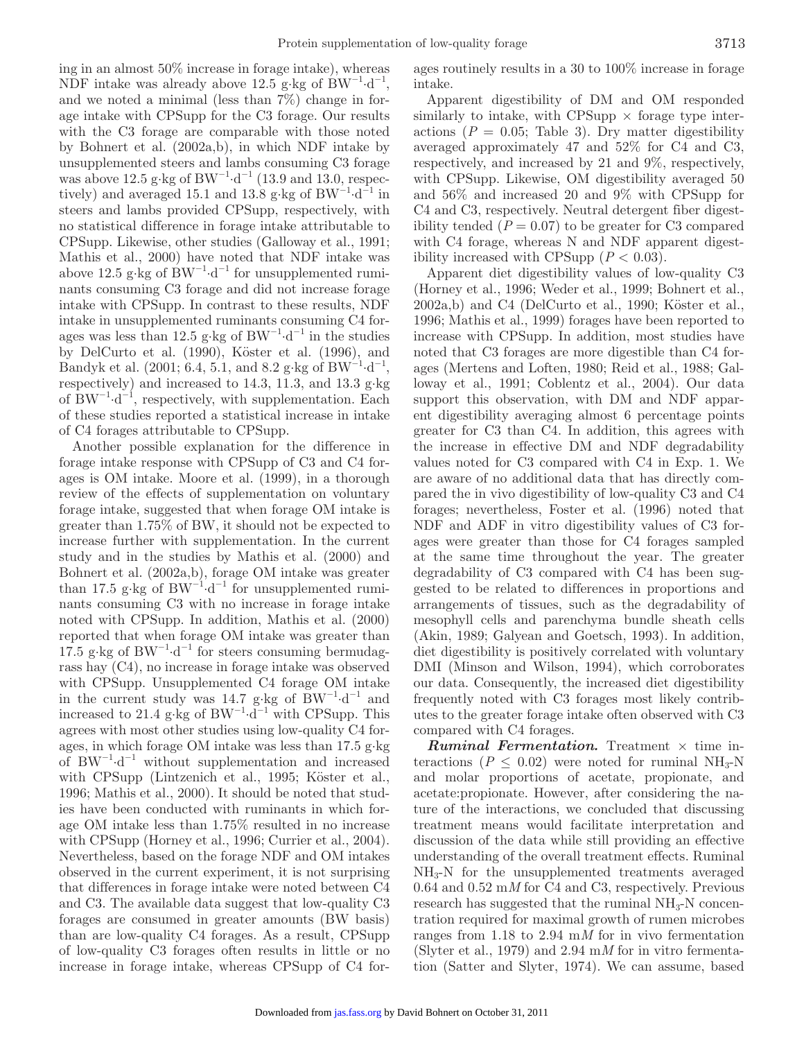ing in an almost 50% increase in forage intake), whereas NDF intake was already above 12.5 g⋅kg of BW<sup>-1</sup>⋅d<sup>-1</sup>, and we noted a minimal (less than 7%) change in forage intake with CPSupp for the C3 forage. Our results with the C3 forage are comparable with those noted by Bohnert et al. (2002a,b), in which NDF intake by unsupplemented steers and lambs consuming C3 forage was above 12.5 g⋅kg of BW<sup>-1</sup>⋅d<sup>-1</sup> (13.9 and 13.0, respectively) and averaged 15.1 and 13.8 g⋅kg of BW<sup>-1</sup>⋅d<sup>-1</sup> in steers and lambs provided CPSupp, respectively, with no statistical difference in forage intake attributable to CPSupp. Likewise, other studies (Galloway et al., 1991; Mathis et al., 2000) have noted that NDF intake was above 12.5 g⋅kg of  $BW^{-1}·d^{-1}$  for unsupplemented ruminants consuming C3 forage and did not increase forage intake with CPSupp. In contrast to these results, NDF intake in unsupplemented ruminants consuming C4 forages was less than 12.5 g⋅kg of BW<sup>-1</sup>⋅d<sup>-1</sup> in the studies by DelCurto et al. (1990), Köster et al. (1996), and Bandyk et al. (2001; 6.4, 5.1, and 8.2 g⋅kg of BW<sup>-1</sup>⋅d<sup>-1</sup>, respectively) and increased to 14.3, 11.3, and 13.3 g∙kg of BW<sup>-1</sup>⋅d<sup>-1</sup>, respectively, with supplementation. Each of these studies reported a statistical increase in intake of C4 forages attributable to CPSupp.

Another possible explanation for the difference in forage intake response with CPSupp of C3 and C4 forages is OM intake. Moore et al. (1999), in a thorough review of the effects of supplementation on voluntary forage intake, suggested that when forage OM intake is greater than 1.75% of BW, it should not be expected to increase further with supplementation. In the current study and in the studies by Mathis et al. (2000) and Bohnert et al. (2002a,b), forage OM intake was greater than 17.5 g⋅kg of BW<sup>-1</sup>⋅d<sup>-1</sup> for unsupplemented ruminants consuming C3 with no increase in forage intake noted with CPSupp. In addition, Mathis et al. (2000) reported that when forage OM intake was greater than  $17.5$  g⋅kg of BW<sup>-1</sup>⋅d<sup>-1</sup> for steers consuming bermudagrass hay (C4), no increase in forage intake was observed with CPSupp. Unsupplemented C4 forage OM intake in the current study was 14.7 g⋅kg of BW<sup>-1</sup>⋅d<sup>-1</sup> and increased to 21.4 g⋅kg of  $BW^{-1}·d^{-1}$  with CPSupp. This agrees with most other studies using low-quality C4 forages, in which forage OM intake was less than 17.5 g∙kg of  $BW^{-1}d^{-1}$  without supplementation and increased with CPSupp (Lintzenich et al., 1995; Köster et al., 1996; Mathis et al., 2000). It should be noted that studies have been conducted with ruminants in which forage OM intake less than 1.75% resulted in no increase with CPSupp (Horney et al., 1996; Currier et al., 2004). Nevertheless, based on the forage NDF and OM intakes observed in the current experiment, it is not surprising that differences in forage intake were noted between C4 and C3. The available data suggest that low-quality C3 forages are consumed in greater amounts (BW basis) than are low-quality C4 forages. As a result, CPSupp of low-quality C3 forages often results in little or no increase in forage intake, whereas CPSupp of C4 forages routinely results in a 30 to 100% increase in forage intake.

Apparent digestibility of DM and OM responded similarly to intake, with CPSupp  $\times$  forage type interactions  $(P = 0.05;$  Table 3). Dry matter digestibility averaged approximately 47 and 52% for C4 and C3, respectively, and increased by 21 and 9%, respectively, with CPSupp. Likewise, OM digestibility averaged 50 and 56% and increased 20 and 9% with CPSupp for C4 and C3, respectively. Neutral detergent fiber digestibility tended  $(P = 0.07)$  to be greater for C3 compared with C4 forage, whereas N and NDF apparent digestibility increased with CPSupp  $(P < 0.03)$ .

Apparent diet digestibility values of low-quality C3 (Horney et al., 1996; Weder et al., 1999; Bohnert et al., 2002a,b) and C4 (DelCurto et al., 1990; Köster et al., 1996; Mathis et al., 1999) forages have been reported to increase with CPSupp. In addition, most studies have noted that C3 forages are more digestible than C4 forages (Mertens and Loften, 1980; Reid et al., 1988; Galloway et al., 1991; Coblentz et al., 2004). Our data support this observation, with DM and NDF apparent digestibility averaging almost 6 percentage points greater for C3 than C4. In addition, this agrees with the increase in effective DM and NDF degradability values noted for C3 compared with C4 in Exp. 1. We are aware of no additional data that has directly compared the in vivo digestibility of low-quality C3 and C4 forages; nevertheless, Foster et al. (1996) noted that NDF and ADF in vitro digestibility values of C3 forages were greater than those for C4 forages sampled at the same time throughout the year. The greater degradability of C3 compared with C4 has been suggested to be related to differences in proportions and arrangements of tissues, such as the degradability of mesophyll cells and parenchyma bundle sheath cells (Akin, 1989; Galyean and Goetsch, 1993). In addition, diet digestibility is positively correlated with voluntary DMI (Minson and Wilson, 1994), which corroborates our data. Consequently, the increased diet digestibility frequently noted with C3 forages most likely contributes to the greater forage intake often observed with C3 compared with C4 forages.

*Ruminal Fermentation.* Treatment  $\times$  time interactions ( $P \leq 0.02$ ) were noted for ruminal NH<sub>3</sub>-N and molar proportions of acetate, propionate, and acetate:propionate. However, after considering the nature of the interactions, we concluded that discussing treatment means would facilitate interpretation and discussion of the data while still providing an effective understanding of the overall treatment effects. Ruminal NH3-N for the unsupplemented treatments averaged 0.64 and 0.52 m*M* for C4 and C3, respectively. Previous research has suggested that the ruminal  $NH<sub>3</sub>-N$  concentration required for maximal growth of rumen microbes ranges from 1.18 to 2.94 m*M* for in vivo fermentation (Slyter et al., 1979) and 2.94 m*M* for in vitro fermentation (Satter and Slyter, 1974). We can assume, based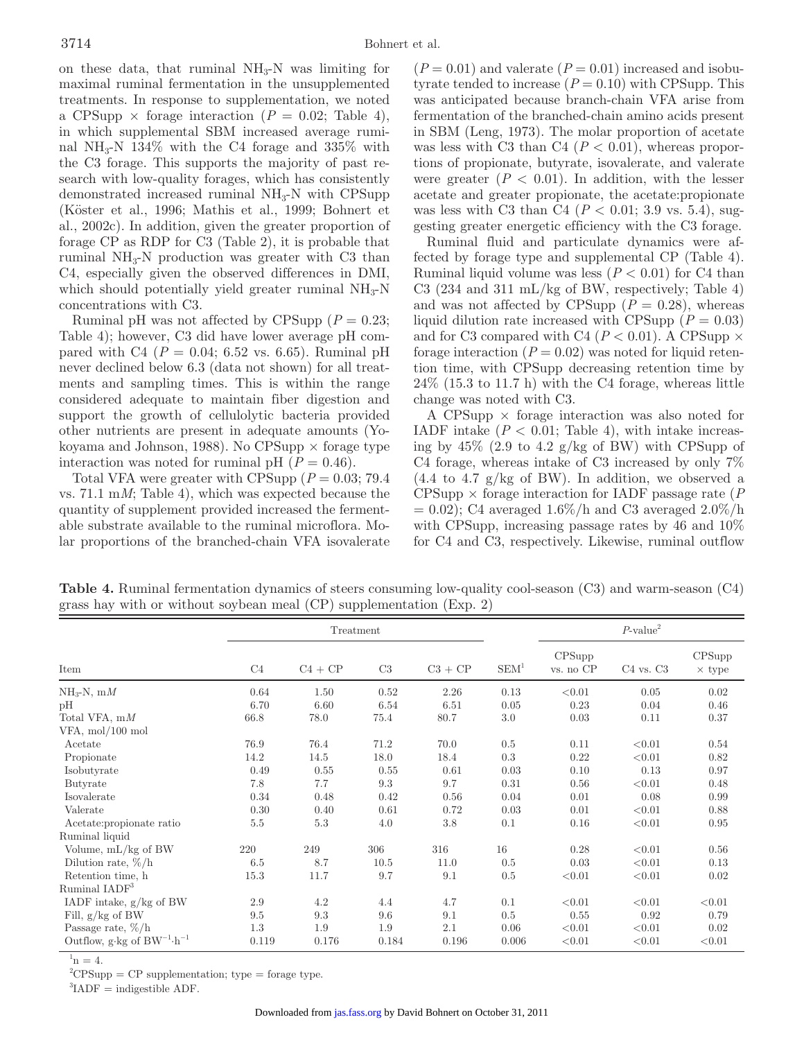on these data, that ruminal  $NH<sub>3</sub>-N$  was limiting for maximal ruminal fermentation in the unsupplemented treatments. In response to supplementation, we noted a CPSupp  $\times$  forage interaction ( $P = 0.02$ ; Table 4), in which supplemental SBM increased average ruminal NH<sub>3</sub>-N 134\% with the C4 forage and 335\% with the C3 forage. This supports the majority of past research with low-quality forages, which has consistently demonstrated increased ruminal  $NH<sub>3</sub>-N$  with CPSupp (Köster et al., 1996; Mathis et al., 1999; Bohnert et al., 2002c). In addition, given the greater proportion of forage CP as RDP for C3 (Table 2), it is probable that ruminal  $NH<sub>3</sub>-N$  production was greater with C3 than C4, especially given the observed differences in DMI, which should potentially yield greater ruminal  $NH<sub>3</sub>-N$ concentrations with C3.

Ruminal pH was not affected by CPSupp  $(P = 0.23;$ Table 4); however, C3 did have lower average pH compared with C4 ( $P = 0.04$ ; 6.52 vs. 6.65). Ruminal pH never declined below 6.3 (data not shown) for all treatments and sampling times. This is within the range considered adequate to maintain fiber digestion and support the growth of cellulolytic bacteria provided other nutrients are present in adequate amounts (Yokoyama and Johnson, 1988). No CPSupp  $\times$  forage type interaction was noted for ruminal pH  $(P = 0.46)$ .

Total VFA were greater with CPSupp  $(P = 0.03; 79.4)$ vs. 71.1 m*M*; Table 4), which was expected because the quantity of supplement provided increased the fermentable substrate available to the ruminal microflora. Molar proportions of the branched-chain VFA isovalerate  $(P = 0.01)$  and valerate  $(P = 0.01)$  increased and isobutyrate tended to increase  $(P = 0.10)$  with CPSupp. This was anticipated because branch-chain VFA arise from fermentation of the branched-chain amino acids present in SBM (Leng, 1973). The molar proportion of acetate was less with C3 than C4  $(P < 0.01)$ , whereas proportions of propionate, butyrate, isovalerate, and valerate were greater  $(P < 0.01)$ . In addition, with the lesser acetate and greater propionate, the acetate:propionate was less with C3 than C4 (*P* < 0.01; 3.9 vs. 5.4), suggesting greater energetic efficiency with the C3 forage.

Ruminal fluid and particulate dynamics were affected by forage type and supplemental CP (Table 4). Ruminal liquid volume was less  $(P < 0.01)$  for C4 than C3 (234 and 311 mL/kg of BW, respectively; Table 4) and was not affected by CPSupp  $(P = 0.28)$ , whereas liquid dilution rate increased with CPSupp ( $P = 0.03$ ) and for C3 compared with C4 ( $P < 0.01$ ). A CPSupp  $\times$ forage interaction  $(P = 0.02)$  was noted for liquid retention time, with CPSupp decreasing retention time by 24% (15.3 to 11.7 h) with the C4 forage, whereas little change was noted with C3.

A CPSupp  $\times$  forage interaction was also noted for IADF intake  $(P < 0.01$ ; Table 4), with intake increasing by  $45\%$  (2.9 to 4.2 g/kg of BW) with CPSupp of C4 forage, whereas intake of C3 increased by only 7%  $(4.4 \text{ to } 4.7 \text{ g/kg of BW})$ . In addition, we observed a  $CPSupp \times forage interaction for IADF passage rate (P)$  $= 0.02$ ; C4 averaged 1.6%/h and C3 averaged 2.0%/h with CPSupp, increasing passage rates by 46 and 10% for C4 and C3, respectively. Likewise, ruminal outflow

**Table 4.** Ruminal fermentation dynamics of steers consuming low-quality cool-season (C3) and warm-season (C4) grass hay with or without soybean meal (CP) supplementation (Exp. 2)

|                                                                   | Treatment      |           |       |           |                  | $P$ -value <sup>2</sup> |               |                         |
|-------------------------------------------------------------------|----------------|-----------|-------|-----------|------------------|-------------------------|---------------|-------------------------|
| Item                                                              | C <sub>4</sub> | $C4 + CP$ | C3    | $C3 + CP$ | SEM <sup>1</sup> | CPSupp<br>vs. no CP     | $C4$ vs. $C3$ | CPSupp<br>$\times$ type |
| $NH_3-N$ , m $M$                                                  | 0.64           | 1.50      | 0.52  | 2.26      | 0.13             | < 0.01                  | 0.05          | 0.02                    |
| pН                                                                | 6.70           | 6.60      | 6.54  | 6.51      | 0.05             | 0.23                    | 0.04          | 0.46                    |
| Total VFA, $mM$                                                   | 66.8           | 78.0      | 75.4  | 80.7      | 3.0              | 0.03                    | 0.11          | 0.37                    |
| $VFA$ , mol/100 mol                                               |                |           |       |           |                  |                         |               |                         |
| Acetate                                                           | 76.9           | 76.4      | 71.2  | 70.0      | 0.5              | 0.11                    | < 0.01        | 0.54                    |
| Propionate                                                        | 14.2           | 14.5      | 18.0  | 18.4      | 0.3              | 0.22                    | < 0.01        | 0.82                    |
| Isobutyrate                                                       | 0.49           | 0.55      | 0.55  | 0.61      | 0.03             | 0.10                    | 0.13          | 0.97                    |
| Butyrate                                                          | 7.8            | 7.7       | 9.3   | 9.7       | 0.31             | 0.56                    | < 0.01        | 0.48                    |
| Isovalerate                                                       | 0.34           | 0.48      | 0.42  | 0.56      | 0.04             | 0.01                    | 0.08          | 0.99                    |
| Valerate                                                          | 0.30           | 0.40      | 0.61  | 0.72      | 0.03             | 0.01                    | < 0.01        | 0.88                    |
| Acetate: propionate ratio                                         | 5.5            | $5.3\,$   | 4.0   | $3.8\,$   | 0.1              | 0.16                    | < 0.01        | 0.95                    |
| Ruminal liquid                                                    |                |           |       |           |                  |                         |               |                         |
| Volume, mL/kg of BW                                               | 220            | 249       | 306   | 316       | 16               | 0.28                    | < 0.01        | 0.56                    |
| Dilution rate, $\%/h$                                             | 6.5            | 8.7       | 10.5  | 11.0      | 0.5              | 0.03                    | < 0.01        | 0.13                    |
| Retention time, h                                                 | 15.3           | 11.7      | 9.7   | 9.1       | 0.5              | < 0.01                  | < 0.01        | 0.02                    |
| Ruminal IADF <sup>3</sup>                                         |                |           |       |           |                  |                         |               |                         |
| IADF intake, $g/kg$ of BW                                         | 2.9            | 4.2       | 4.4   | 4.7       | 0.1              | < 0.01                  | < 0.01        | < 0.01                  |
| Fill, $g/kg$ of BW                                                | 9.5            | 9.3       | 9.6   | 9.1       | 0.5              | 0.55                    | 0.92          | 0.79                    |
| Passage rate, $\%/h$                                              | 1.3            | 1.9       | 1.9   | 2.1       | 0.06             | < 0.01                  | < 0.01        | 0.02                    |
| Outflow, g $\cdot$ kg of BW <sup>-1</sup> $\cdot$ h <sup>-1</sup> | 0.119          | 0.176     | 0.184 | 0.196     | 0.006            | < 0.01                  | < 0.01        | < 0.01                  |

 $n = 4$ .

 ${}^{2}CPSupp = CP$  supplementation; type = forage type.

 ${}^{3}$ IADF = indigestible ADF.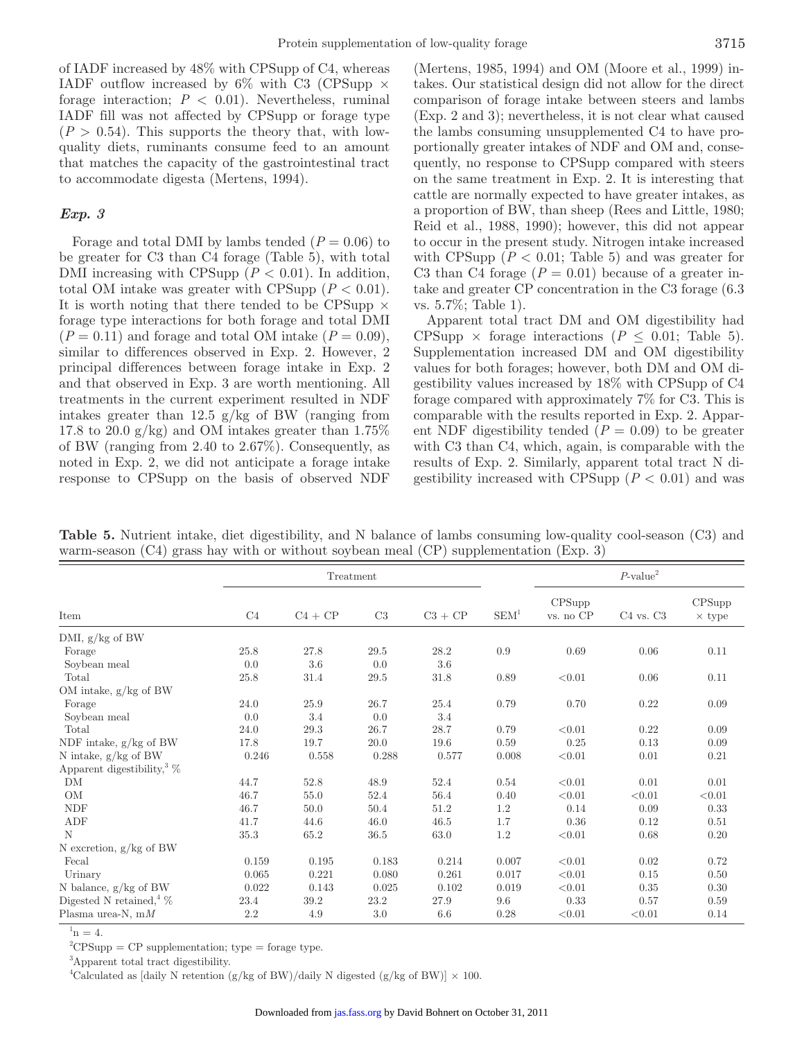of IADF increased by 48% with CPSupp of C4, whereas IADF outflow increased by  $6\%$  with C3 (CPSupp  $\times$ forage interaction;  $P < 0.01$ ). Nevertheless, ruminal IADF fill was not affected by CPSupp or forage type  $(P > 0.54)$ . This supports the theory that, with lowquality diets, ruminants consume feed to an amount that matches the capacity of the gastrointestinal tract to accommodate digesta (Mertens, 1994).

#### *Exp. 3*

Forage and total DMI by lambs tended  $(P = 0.06)$  to be greater for C3 than C4 forage (Table 5), with total DMI increasing with CPSupp  $(P < 0.01)$ . In addition, total OM intake was greater with CPSupp  $(P < 0.01)$ . It is worth noting that there tended to be CPSupp  $\times$ forage type interactions for both forage and total DMI  $(P = 0.11)$  and forage and total OM intake  $(P = 0.09)$ , similar to differences observed in Exp. 2. However, 2 principal differences between forage intake in Exp. 2 and that observed in Exp. 3 are worth mentioning. All treatments in the current experiment resulted in NDF intakes greater than 12.5  $g/kg$  of BW (ranging from 17.8 to 20.0  $g/kg$ ) and OM intakes greater than 1.75% of BW (ranging from 2.40 to 2.67%). Consequently, as noted in Exp. 2, we did not anticipate a forage intake response to CPSupp on the basis of observed NDF

(Mertens, 1985, 1994) and OM (Moore et al., 1999) intakes. Our statistical design did not allow for the direct comparison of forage intake between steers and lambs (Exp. 2 and 3); nevertheless, it is not clear what caused the lambs consuming unsupplemented C4 to have proportionally greater intakes of NDF and OM and, consequently, no response to CPSupp compared with steers on the same treatment in Exp. 2. It is interesting that cattle are normally expected to have greater intakes, as a proportion of BW, than sheep (Rees and Little, 1980; Reid et al., 1988, 1990); however, this did not appear to occur in the present study. Nitrogen intake increased with CPSupp  $(P < 0.01$ ; Table 5) and was greater for C3 than C4 forage  $(P = 0.01)$  because of a greater intake and greater CP concentration in the C3 forage (6.3 vs. 5.7%; Table 1).

Apparent total tract DM and OM digestibility had CPSupp  $\times$  forage interactions ( $P \leq 0.01$ ; Table 5). Supplementation increased DM and OM digestibility values for both forages; however, both DM and OM digestibility values increased by 18% with CPSupp of C4 forage compared with approximately 7% for C3. This is comparable with the results reported in Exp. 2. Apparent NDF digestibility tended  $(P = 0.09)$  to be greater with C3 than C4, which, again, is comparable with the results of Exp. 2. Similarly, apparent total tract N digestibility increased with CPSupp  $(P < 0.01)$  and was

**Table 5.** Nutrient intake, diet digestibility, and N balance of lambs consuming low-quality cool-season (C3) and warm-season (C4) grass hay with or without soybean meal (CP) supplementation (Exp. 3)

|                                               | Treatment |           |       |           |                  | $P$ -value <sup>2</sup> |               |                         |
|-----------------------------------------------|-----------|-----------|-------|-----------|------------------|-------------------------|---------------|-------------------------|
| Item                                          | C4        | $C4 + CP$ | C3    | $C3 + CP$ | SEM <sup>1</sup> | CPSupp<br>vs. no CP     | $C4$ vs. $C3$ | CPSupp<br>$\times$ type |
| DMI, g/kg of BW                               |           |           |       |           |                  |                         |               |                         |
| Forage                                        | 25.8      | 27.8      | 29.5  | 28.2      | 0.9              | 0.69                    | 0.06          | 0.11                    |
| Soybean meal                                  | 0.0       | $3.6\,$   | 0.0   | 3.6       |                  |                         |               |                         |
| Total                                         | 25.8      | 31.4      | 29.5  | 31.8      | 0.89             | < 0.01                  | 0.06          | 0.11                    |
| OM intake, g/kg of BW                         |           |           |       |           |                  |                         |               |                         |
| Forage                                        | 24.0      | 25.9      | 26.7  | 25.4      | 0.79             | 0.70                    | 0.22          | 0.09                    |
| Soybean meal                                  | 0.0       | 3.4       | 0.0   | 3.4       |                  |                         |               |                         |
| Total                                         | 24.0      | 29.3      | 26.7  | 28.7      | 0.79             | < 0.01                  | 0.22          | 0.09                    |
| NDF intake, $g/kg$ of BW                      | 17.8      | 19.7      | 20.0  | 19.6      | 0.59             | 0.25                    | 0.13          | 0.09                    |
| N intake, $g/kg$ of BW                        | 0.246     | 0.558     | 0.288 | 0.577     | 0.008            | < 0.01                  | 0.01          | 0.21                    |
| Apparent digestibility, $\%$                  |           |           |       |           |                  |                         |               |                         |
| DM                                            | 44.7      | 52.8      | 48.9  | 52.4      | 0.54             | < 0.01                  | 0.01          | 0.01                    |
| OM                                            | 46.7      | 55.0      | 52.4  | 56.4      | 0.40             | < 0.01                  | < 0.01        | < 0.01                  |
| <b>NDF</b>                                    | 46.7      | 50.0      | 50.4  | 51.2      | 1.2              | 0.14                    | 0.09          | 0.33                    |
| ADF                                           | 41.7      | 44.6      | 46.0  | 46.5      | 1.7              | 0.36                    | 0.12          | 0.51                    |
| N                                             | 35.3      | 65.2      | 36.5  | 63.0      | 1.2              | < 0.01                  | 0.68          | 0.20                    |
| N excretion, $g/kg$ of BW                     |           |           |       |           |                  |                         |               |                         |
| Fecal                                         | 0.159     | 0.195     | 0.183 | 0.214     | 0.007            | < 0.01                  | 0.02          | 0.72                    |
| Urinary                                       | 0.065     | 0.221     | 0.080 | 0.261     | 0.017            | < 0.01                  | 0.15          | 0.50                    |
| N balance, g/kg of BW                         | 0.022     | 0.143     | 0.025 | 0.102     | 0.019            | < 0.01                  | 0.35          | 0.30                    |
| Digested N retained, $\%$                     | 23.4      | 39.2      | 23.2  | 27.9      | 9.6              | 0.33                    | 0.57          | 0.59                    |
| Plasma urea-N, $mM$<br>$\sim$ 1 $\sim$ $\sim$ | 2.2       | 4.9       | 3.0   | 6.6       | 0.28             | < 0.01                  | < 0.01        | 0.14                    |

 $n = 4$ .

 ${}^{2}CPSupp = CP$  supplementation; type = forage type.

3 Apparent total tract digestibility.

<sup>4</sup>Calculated as [daily N retention (g/kg of BW)/daily N digested (g/kg of BW)]  $\times$  100.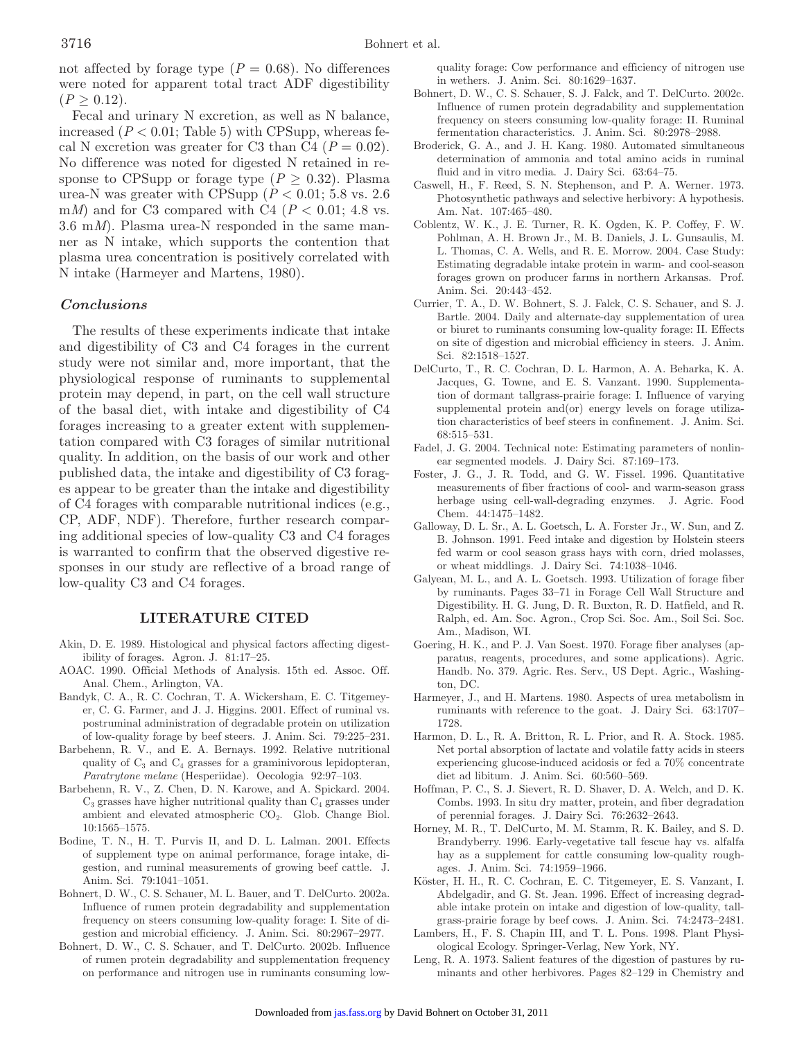not affected by forage type  $(P = 0.68)$ . No differences were noted for apparent total tract ADF digestibility  $(P > 0.12)$ .

Fecal and urinary N excretion, as well as N balance, increased  $(P < 0.01$ ; Table 5) with CPSupp, whereas fecal N excretion was greater for C3 than C4 ( $P = 0.02$ ). No difference was noted for digested N retained in response to CPSupp or forage type  $(P \geq 0.32)$ . Plasma urea-N was greater with CPSupp  $(P < 0.01; 5.8 \text{ vs. } 2.6)$ m*M*) and for C3 compared with C4 ( $P < 0.01$ ; 4.8 vs. 3.6 m*M*). Plasma urea-N responded in the same manner as N intake, which supports the contention that plasma urea concentration is positively correlated with N intake (Harmeyer and Martens, 1980).

#### *Conclusions*

The results of these experiments indicate that intake and digestibility of C3 and C4 forages in the current study were not similar and, more important, that the physiological response of ruminants to supplemental protein may depend, in part, on the cell wall structure of the basal diet, with intake and digestibility of C4 forages increasing to a greater extent with supplementation compared with C3 forages of similar nutritional quality. In addition, on the basis of our work and other published data, the intake and digestibility of C3 forages appear to be greater than the intake and digestibility of C4 forages with comparable nutritional indices (e.g., CP, ADF, NDF). Therefore, further research comparing additional species of low-quality C3 and C4 forages is warranted to confirm that the observed digestive responses in our study are reflective of a broad range of low-quality C3 and C4 forages.

#### **LITERATURE CITED**

- Akin, D. E. 1989. Histological and physical factors affecting digestibility of forages. Agron. J. 81:17–25.
- AOAC. 1990. Official Methods of Analysis. 15th ed. Assoc. Off. Anal. Chem., Arlington, VA.
- Bandyk, C. A., R. C. Cochran, T. A. Wickersham, E. C. Titgemeyer, C. G. Farmer, and J. J. Higgins. 2001. Effect of ruminal vs. postruminal administration of degradable protein on utilization of low-quality forage by beef steers. J. Anim. Sci. 79:225–231.
- Barbehenn, R. V., and E. A. Bernays. 1992. Relative nutritional quality of  $C_3$  and  $C_4$  grasses for a graminivorous lepidopteran, *Paratrytone melane* (Hesperiidae). Oecologia 92:97–103.
- Barbehenn, R. V., Z. Chen, D. N. Karowe, and A. Spickard. 2004.  $C_3$  grasses have higher nutritional quality than  $C_4$  grasses under ambient and elevated atmospheric  $CO<sub>2</sub>$ . Glob. Change Biol. 10:1565–1575.
- Bodine, T. N., H. T. Purvis II, and D. L. Lalman. 2001. Effects of supplement type on animal performance, forage intake, digestion, and ruminal measurements of growing beef cattle. J. Anim. Sci. 79:1041–1051.
- Bohnert, D. W., C. S. Schauer, M. L. Bauer, and T. DelCurto. 2002a. Influence of rumen protein degradability and supplementation frequency on steers consuming low-quality forage: I. Site of digestion and microbial efficiency. J. Anim. Sci. 80:2967–2977.
- Bohnert, D. W., C. S. Schauer, and T. DelCurto. 2002b. Influence of rumen protein degradability and supplementation frequency on performance and nitrogen use in ruminants consuming low-

quality forage: Cow performance and efficiency of nitrogen use in wethers. J. Anim. Sci. 80:1629–1637.

- Bohnert, D. W., C. S. Schauer, S. J. Falck, and T. DelCurto. 2002c. Influence of rumen protein degradability and supplementation frequency on steers consuming low-quality forage: II. Ruminal fermentation characteristics. J. Anim. Sci. 80:2978–2988.
- Broderick, G. A., and J. H. Kang. 1980. Automated simultaneous determination of ammonia and total amino acids in ruminal fluid and in vitro media. J. Dairy Sci. 63:64–75.
- Caswell, H., F. Reed, S. N. Stephenson, and P. A. Werner. 1973. Photosynthetic pathways and selective herbivory: A hypothesis. Am. Nat. 107:465–480.
- Coblentz, W. K., J. E. Turner, R. K. Ogden, K. P. Coffey, F. W. Pohlman, A. H. Brown Jr., M. B. Daniels, J. L. Gunsaulis, M. L. Thomas, C. A. Wells, and R. E. Morrow. 2004. Case Study: Estimating degradable intake protein in warm- and cool-season forages grown on producer farms in northern Arkansas. Prof. Anim. Sci. 20:443–452.
- Currier, T. A., D. W. Bohnert, S. J. Falck, C. S. Schauer, and S. J. Bartle. 2004. Daily and alternate-day supplementation of urea or biuret to ruminants consuming low-quality forage: II. Effects on site of digestion and microbial efficiency in steers. J. Anim. Sci. 82:1518–1527.
- DelCurto, T., R. C. Cochran, D. L. Harmon, A. A. Beharka, K. A. Jacques, G. Towne, and E. S. Vanzant. 1990. Supplementation of dormant tallgrass-prairie forage: I. Influence of varying supplemental protein and(or) energy levels on forage utilization characteristics of beef steers in confinement. J. Anim. Sci. 68:515–531.
- Fadel, J. G. 2004. Technical note: Estimating parameters of nonlinear segmented models. J. Dairy Sci. 87:169–173.
- Foster, J. G., J. R. Todd, and G. W. Fissel. 1996. Quantitative measurements of fiber fractions of cool- and warm-season grass herbage using cell-wall-degrading enzymes. J. Agric. Food Chem. 44:1475–1482.
- Galloway, D. L. Sr., A. L. Goetsch, L. A. Forster Jr., W. Sun, and Z. B. Johnson. 1991. Feed intake and digestion by Holstein steers fed warm or cool season grass hays with corn, dried molasses, or wheat middlings. J. Dairy Sci. 74:1038–1046.
- Galyean, M. L., and A. L. Goetsch. 1993. Utilization of forage fiber by ruminants. Pages 33–71 in Forage Cell Wall Structure and Digestibility. H. G. Jung, D. R. Buxton, R. D. Hatfield, and R. Ralph, ed. Am. Soc. Agron., Crop Sci. Soc. Am., Soil Sci. Soc. Am., Madison, WI.
- Goering, H. K., and P. J. Van Soest. 1970. Forage fiber analyses (apparatus, reagents, procedures, and some applications). Agric. Handb. No. 379. Agric. Res. Serv., US Dept. Agric., Washington, DC.
- Harmeyer, J., and H. Martens. 1980. Aspects of urea metabolism in ruminants with reference to the goat. J. Dairy Sci. 63:1707– 1728.
- Harmon, D. L., R. A. Britton, R. L. Prior, and R. A. Stock. 1985. Net portal absorption of lactate and volatile fatty acids in steers experiencing glucose-induced acidosis or fed a 70% concentrate diet ad libitum. J. Anim. Sci. 60:560–569.
- Hoffman, P. C., S. J. Sievert, R. D. Shaver, D. A. Welch, and D. K. Combs. 1993. In situ dry matter, protein, and fiber degradation of perennial forages. J. Dairy Sci. 76:2632–2643.
- Horney, M. R., T. DelCurto, M. M. Stamm, R. K. Bailey, and S. D. Brandyberry. 1996. Early-vegetative tall fescue hay vs. alfalfa hay as a supplement for cattle consuming low-quality roughages. J. Anim. Sci. 74:1959–1966.
- Köster, H. H., R. C. Cochran, E. C. Titgemeyer, E. S. Vanzant, I. Abdelgadir, and G. St. Jean. 1996. Effect of increasing degradable intake protein on intake and digestion of low-quality, tallgrass-prairie forage by beef cows. J. Anim. Sci. 74:2473–2481.
- Lambers, H., F. S. Chapin III, and T. L. Pons. 1998. Plant Physiological Ecology. Springer-Verlag, New York, NY.
- Leng, R. A. 1973. Salient features of the digestion of pastures by ruminants and other herbivores. Pages 82–129 in Chemistry and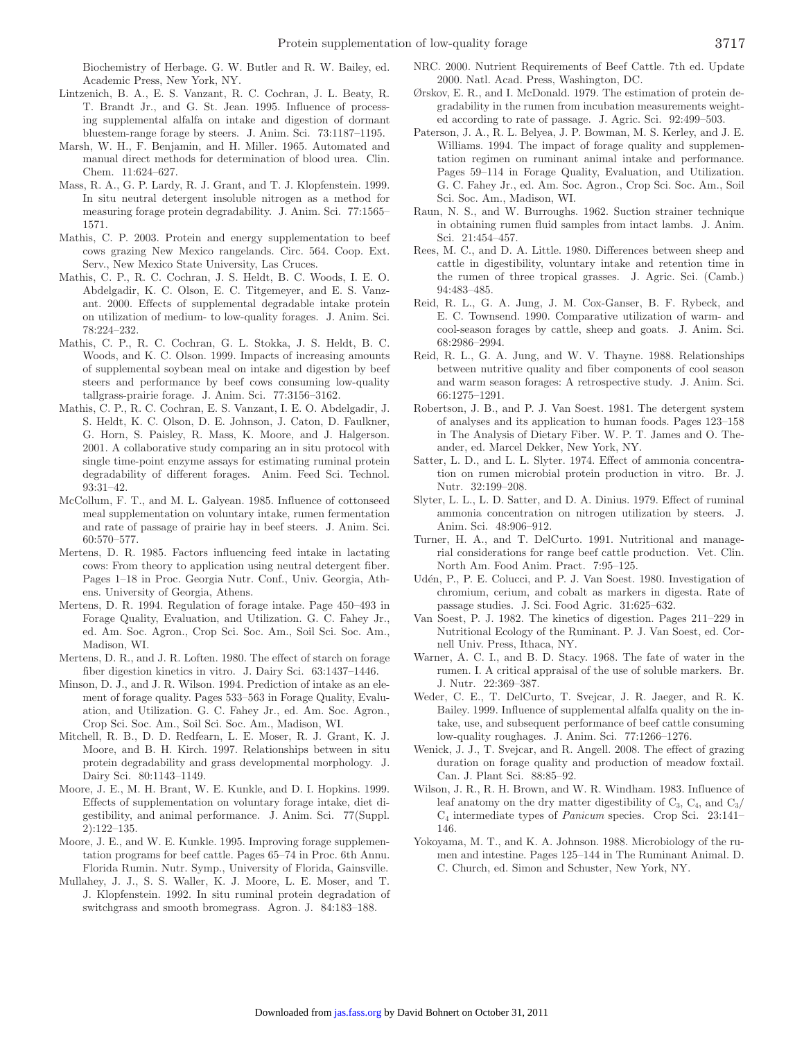Biochemistry of Herbage. G. W. Butler and R. W. Bailey, ed. Academic Press, New York, NY.

- Lintzenich, B. A., E. S. Vanzant, R. C. Cochran, J. L. Beaty, R. T. Brandt Jr., and G. St. Jean. 1995. Influence of processing supplemental alfalfa on intake and digestion of dormant bluestem-range forage by steers. J. Anim. Sci. 73:1187–1195.
- Marsh, W. H., F. Benjamin, and H. Miller. 1965. Automated and manual direct methods for determination of blood urea. Clin. Chem. 11:624–627.
- Mass, R. A., G. P. Lardy, R. J. Grant, and T. J. Klopfenstein. 1999. In situ neutral detergent insoluble nitrogen as a method for measuring forage protein degradability. J. Anim. Sci. 77:1565– 1571.
- Mathis, C. P. 2003. Protein and energy supplementation to beef cows grazing New Mexico rangelands. Circ. 564. Coop. Ext. Serv., New Mexico State University, Las Cruces.
- Mathis, C. P., R. C. Cochran, J. S. Heldt, B. C. Woods, I. E. O. Abdelgadir, K. C. Olson, E. C. Titgemeyer, and E. S. Vanzant. 2000. Effects of supplemental degradable intake protein on utilization of medium- to low-quality forages. J. Anim. Sci. 78:224–232.
- Mathis, C. P., R. C. Cochran, G. L. Stokka, J. S. Heldt, B. C. Woods, and K. C. Olson. 1999. Impacts of increasing amounts of supplemental soybean meal on intake and digestion by beef steers and performance by beef cows consuming low-quality tallgrass-prairie forage. J. Anim. Sci. 77:3156–3162.
- Mathis, C. P., R. C. Cochran, E. S. Vanzant, I. E. O. Abdelgadir, J. S. Heldt, K. C. Olson, D. E. Johnson, J. Caton, D. Faulkner, G. Horn, S. Paisley, R. Mass, K. Moore, and J. Halgerson. 2001. A collaborative study comparing an in situ protocol with single time-point enzyme assays for estimating ruminal protein degradability of different forages. Anim. Feed Sci. Technol. 93:31–42.
- McCollum, F. T., and M. L. Galyean. 1985. Influence of cottonseed meal supplementation on voluntary intake, rumen fermentation and rate of passage of prairie hay in beef steers. J. Anim. Sci. 60:570–577.
- Mertens, D. R. 1985. Factors influencing feed intake in lactating cows: From theory to application using neutral detergent fiber. Pages 1–18 in Proc. Georgia Nutr. Conf., Univ. Georgia, Athens. University of Georgia, Athens.
- Mertens, D. R. 1994. Regulation of forage intake. Page 450–493 in Forage Quality, Evaluation, and Utilization. G. C. Fahey Jr., ed. Am. Soc. Agron., Crop Sci. Soc. Am., Soil Sci. Soc. Am., Madison, WI.
- Mertens, D. R., and J. R. Loften. 1980. The effect of starch on forage fiber digestion kinetics in vitro. J. Dairy Sci. 63:1437–1446.
- Minson, D. J., and J. R. Wilson. 1994. Prediction of intake as an element of forage quality. Pages 533–563 in Forage Quality, Evaluation, and Utilization. G. C. Fahey Jr., ed. Am. Soc. Agron., Crop Sci. Soc. Am., Soil Sci. Soc. Am., Madison, WI.
- Mitchell, R. B., D. D. Redfearn, L. E. Moser, R. J. Grant, K. J. Moore, and B. H. Kirch. 1997. Relationships between in situ protein degradability and grass developmental morphology. J. Dairy Sci. 80:1143–1149.
- Moore, J. E., M. H. Brant, W. E. Kunkle, and D. I. Hopkins. 1999. Effects of supplementation on voluntary forage intake, diet digestibility, and animal performance. J. Anim. Sci. 77(Suppl. 2):122–135.
- Moore, J. E., and W. E. Kunkle. 1995. Improving forage supplementation programs for beef cattle. Pages 65–74 in Proc. 6th Annu. Florida Rumin. Nutr. Symp., University of Florida, Gainsville.
- Mullahey, J. J., S. S. Waller, K. J. Moore, L. E. Moser, and T. J. Klopfenstein. 1992. In situ ruminal protein degradation of switchgrass and smooth bromegrass. Agron. J. 84:183–188.
- NRC. 2000. Nutrient Requirements of Beef Cattle. 7th ed. Update 2000. Natl. Acad. Press, Washington, DC.
- Ørskov, E. R., and I. McDonald. 1979. The estimation of protein degradability in the rumen from incubation measurements weighted according to rate of passage. J. Agric. Sci. 92:499–503.
- Paterson, J. A., R. L. Belyea, J. P. Bowman, M. S. Kerley, and J. E. Williams. 1994. The impact of forage quality and supplementation regimen on ruminant animal intake and performance. Pages 59–114 in Forage Quality, Evaluation, and Utilization. G. C. Fahey Jr., ed. Am. Soc. Agron., Crop Sci. Soc. Am., Soil Sci. Soc. Am., Madison, WI.
- Raun, N. S., and W. Burroughs. 1962. Suction strainer technique in obtaining rumen fluid samples from intact lambs. J. Anim. Sci. 21:454–457.
- Rees, M. C., and D. A. Little. 1980. Differences between sheep and cattle in digestibility, voluntary intake and retention time in the rumen of three tropical grasses. J. Agric. Sci. (Camb.) 94:483–485.
- Reid, R. L., G. A. Jung, J. M. Cox-Ganser, B. F. Rybeck, and E. C. Townsend. 1990. Comparative utilization of warm- and cool-season forages by cattle, sheep and goats. J. Anim. Sci. 68:2986–2994.
- Reid, R. L., G. A. Jung, and W. V. Thayne. 1988. Relationships between nutritive quality and fiber components of cool season and warm season forages: A retrospective study. J. Anim. Sci. 66:1275–1291.
- Robertson, J. B., and P. J. Van Soest. 1981. The detergent system of analyses and its application to human foods. Pages 123–158 in The Analysis of Dietary Fiber. W. P. T. James and O. Theander, ed. Marcel Dekker, New York, NY.
- Satter, L. D., and L. L. Slyter. 1974. Effect of ammonia concentration on rumen microbial protein production in vitro. Br. J. Nutr. 32:199–208.
- Slyter, L. L., L. D. Satter, and D. A. Dinius. 1979. Effect of ruminal ammonia concentration on nitrogen utilization by steers. J. Anim. Sci. 48:906–912.
- Turner, H. A., and T. DelCurto. 1991. Nutritional and managerial considerations for range beef cattle production. Vet. Clin. North Am. Food Anim. Pract. 7:95–125.
- Udén, P., P. E. Colucci, and P. J. Van Soest. 1980. Investigation of chromium, cerium, and cobalt as markers in digesta. Rate of passage studies. J. Sci. Food Agric. 31:625–632.
- Van Soest, P. J. 1982. The kinetics of digestion. Pages 211–229 in Nutritional Ecology of the Ruminant. P. J. Van Soest, ed. Cornell Univ. Press, Ithaca, NY.
- Warner, A. C. I., and B. D. Stacy. 1968. The fate of water in the rumen. I. A critical appraisal of the use of soluble markers. Br. J. Nutr. 22:369–387.
- Weder, C. E., T. DelCurto, T. Svejcar, J. R. Jaeger, and R. K. Bailey. 1999. Influence of supplemental alfalfa quality on the intake, use, and subsequent performance of beef cattle consuming low-quality roughages. J. Anim. Sci. 77:1266–1276.
- Wenick, J. J., T. Svejcar, and R. Angell. 2008. The effect of grazing duration on forage quality and production of meadow foxtail. Can. J. Plant Sci. 88:85–92.
- Wilson, J. R., R. H. Brown, and W. R. Windham. 1983. Influence of leaf anatomy on the dry matter digestibility of  $C_3$ ,  $C_4$ , and  $C_3$ / C4 intermediate types of *Panicum* species. Crop Sci. 23:141– 146.
- Yokoyama, M. T., and K. A. Johnson. 1988. Microbiology of the rumen and intestine. Pages 125–144 in The Ruminant Animal. D. C. Church, ed. Simon and Schuster, New York, NY.